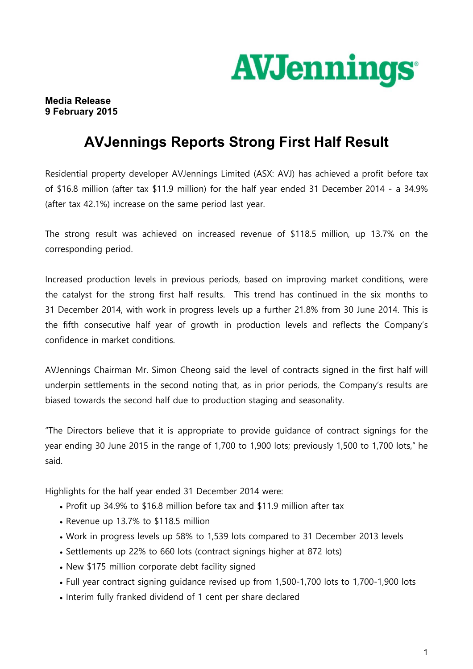

## **Media Release 9 February 2015**

## **AVJennings Reports Strong First Half Result**

Residential property developer AVJennings Limited (ASX: AVJ) has achieved a profit before tax of \$16.8 million (after tax \$11.9 million) for the half year ended 31 December 2014 - a 34.9% (after tax 42.1%) increase on the same period last year.

The strong result was achieved on increased revenue of \$118.5 million, up 13.7% on the corresponding period.

Increased production levels in previous periods, based on improving market conditions, were the catalyst for the strong first half results. This trend has continued in the six months to 31 December 2014, with work in progress levels up a further 21.8% from 30 June 2014. This is the fifth consecutive half year of growth in production levels and reflects the Company's confidence in market conditions.

AVJennings Chairman Mr. Simon Cheong said the level of contracts signed in the first half will underpin settlements in the second noting that, as in prior periods, the Company's results are biased towards the second half due to production staging and seasonality.

"The Directors believe that it is appropriate to provide guidance of contract signings for the year ending 30 June 2015 in the range of 1,700 to 1,900 lots; previously 1,500 to 1,700 lots," he said.

Highlights for the half year ended 31 December 2014 were:

- Profit up 34.9% to \$16.8 million before tax and \$11.9 million after tax
- Revenue up 13.7% to \$118.5 million
- Work in progress levels up 58% to 1,539 lots compared to 31 December 2013 levels
- Settlements up 22% to 660 lots (contract signings higher at 872 lots)
- New \$175 million corporate debt facility signed
- Full year contract signing guidance revised up from 1,500-1,700 lots to 1,700-1,900 lots
- Interim fully franked dividend of 1 cent per share declared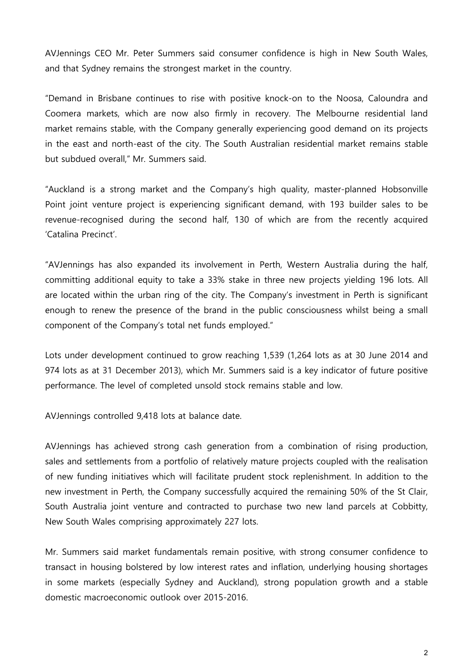AVJennings CEO Mr. Peter Summers said consumer confidence is high in New South Wales, and that Sydney remains the strongest market in the country.

"Demand in Brisbane continues to rise with positive knock-on to the Noosa, Caloundra and Coomera markets, which are now also firmly in recovery. The Melbourne residential land market remains stable, with the Company generally experiencing good demand on its projects in the east and north-east of the city. The South Australian residential market remains stable but subdued overall," Mr. Summers said.

"Auckland is a strong market and the Company's high quality, master-planned Hobsonville Point joint venture project is experiencing significant demand, with 193 builder sales to be revenue-recognised during the second half, 130 of which are from the recently acquired 'Catalina Precinct'.

"AVJennings has also expanded its involvement in Perth, Western Australia during the half, committing additional equity to take a 33% stake in three new projects yielding 196 lots. All are located within the urban ring of the city. The Company's investment in Perth is significant enough to renew the presence of the brand in the public consciousness whilst being a small component of the Company's total net funds employed."

Lots under development continued to grow reaching 1,539 (1,264 lots as at 30 June 2014 and 974 lots as at 31 December 2013), which Mr. Summers said is a key indicator of future positive performance. The level of completed unsold stock remains stable and low.

AVJennings controlled 9,418 lots at balance date.

AVJennings has achieved strong cash generation from a combination of rising production, sales and settlements from a portfolio of relatively mature projects coupled with the realisation of new funding initiatives which will facilitate prudent stock replenishment. In addition to the new investment in Perth, the Company successfully acquired the remaining 50% of the St Clair, South Australia joint venture and contracted to purchase two new land parcels at Cobbitty, New South Wales comprising approximately 227 lots.

Mr. Summers said market fundamentals remain positive, with strong consumer confidence to transact in housing bolstered by low interest rates and inflation, underlying housing shortages in some markets (especially Sydney and Auckland), strong population growth and a stable domestic macroeconomic outlook over 2015-2016.